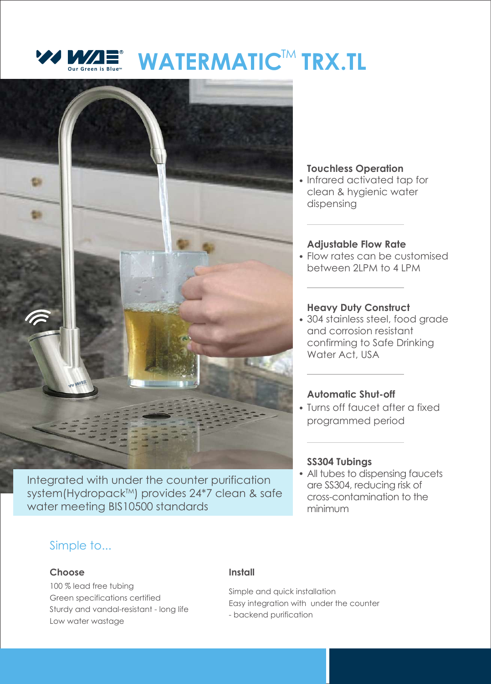



Integrated with under the counter purification system(Hydropack<sup>TM</sup>) provides 24\*7 clean & safe water meeting BIS10500 standards

## **Touchless Operation**

• Infrared activated tap for clean & hygienic water dispensing

#### **Adjustable Flow Rate**

• Flow rates can be customised between 2LPM to 4 LPM

## **Heavy Duty Construct**

304 stainless steel, food grade and corrosion resistant confirming to Safe Drinking Water Act, USA

## **Automatic Shut-off**

Turns off faucet after a fixed programmed period

## **SS304 Tubings**

• All tubes to dispensing faucets are SS304, reducing risk of cross-contamination to the minimum

## Simple to...

#### **Choose**

100 % lead free tubing Green specifications certified Sturdy and vandal-resistant - long life Low water wastage

#### **Install**

Simple and quick installation Easy integration with under the counter - backend purification